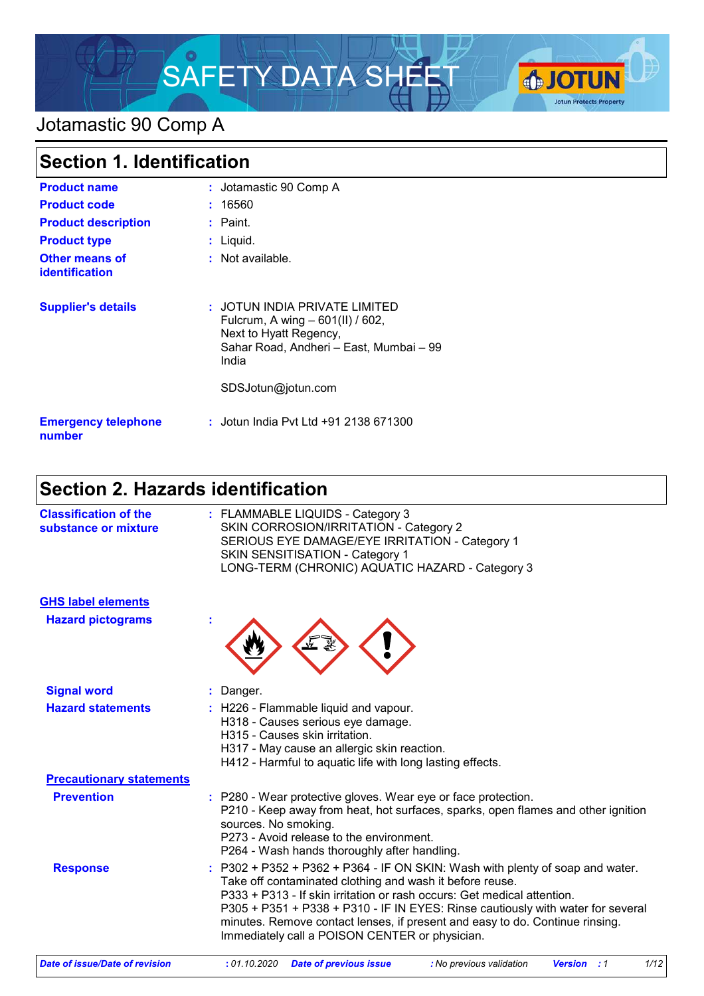

### Jotamastic 90 Comp A

| <b>Section 1. Identification</b>        |                                                                                                                                                                       |
|-----------------------------------------|-----------------------------------------------------------------------------------------------------------------------------------------------------------------------|
| <b>Product name</b>                     | : Jotamastic 90 Comp A                                                                                                                                                |
| <b>Product code</b>                     | : 16560                                                                                                                                                               |
| <b>Product description</b>              | $:$ Paint.                                                                                                                                                            |
| <b>Product type</b>                     | : Liquid.                                                                                                                                                             |
| Other means of<br><b>identification</b> | : Not available.                                                                                                                                                      |
| <b>Supplier's details</b>               | : JOTUN INDIA PRIVATE LIMITED<br>Fulcrum, A wing - 601(II) / 602,<br>Next to Hyatt Regency,<br>Sahar Road, Andheri - East, Mumbai - 99<br>India<br>SDSJotun@jotun.com |
| <b>Emergency telephone</b><br>number    | : Jotun India Pyt Ltd +91 2138 671300                                                                                                                                 |

### **Section 2. Hazards identification**

| <b>Classification of the</b><br>substance or mixture | : FLAMMABLE LIQUIDS - Category 3<br>SKIN CORROSION/IRRITATION - Category 2<br>SERIOUS EYE DAMAGE/EYE IRRITATION - Category 1<br><b>SKIN SENSITISATION - Category 1</b><br>LONG-TERM (CHRONIC) AQUATIC HAZARD - Category 3                                                                                                                                                                                                                   |
|------------------------------------------------------|---------------------------------------------------------------------------------------------------------------------------------------------------------------------------------------------------------------------------------------------------------------------------------------------------------------------------------------------------------------------------------------------------------------------------------------------|
| <b>GHS label elements</b>                            |                                                                                                                                                                                                                                                                                                                                                                                                                                             |
| <b>Hazard pictograms</b>                             |                                                                                                                                                                                                                                                                                                                                                                                                                                             |
| <b>Signal word</b>                                   | : Danger.                                                                                                                                                                                                                                                                                                                                                                                                                                   |
| <b>Hazard statements</b>                             | : H226 - Flammable liquid and vapour.<br>H318 - Causes serious eye damage.<br>H315 - Causes skin irritation.<br>H317 - May cause an allergic skin reaction.<br>H412 - Harmful to aquatic life with long lasting effects.                                                                                                                                                                                                                    |
| <b>Precautionary statements</b>                      |                                                                                                                                                                                                                                                                                                                                                                                                                                             |
| <b>Prevention</b>                                    | : P280 - Wear protective gloves. Wear eye or face protection.<br>P210 - Keep away from heat, hot surfaces, sparks, open flames and other ignition<br>sources. No smoking.<br>P273 - Avoid release to the environment.<br>P264 - Wash hands thoroughly after handling.                                                                                                                                                                       |
| <b>Response</b>                                      | $: P302 + P352 + P362 + P364 - IF ON SKIN: Wash with plenty of soap and water.$<br>Take off contaminated clothing and wash it before reuse.<br>P333 + P313 - If skin irritation or rash occurs: Get medical attention.<br>P305 + P351 + P338 + P310 - IF IN EYES: Rinse cautiously with water for several<br>minutes. Remove contact lenses, if present and easy to do. Continue rinsing.<br>Immediately call a POISON CENTER or physician. |

*Date of issue/Date of revision* **:** *01.10.2020 Date of previous issue : No previous validation Version : 1 1/12*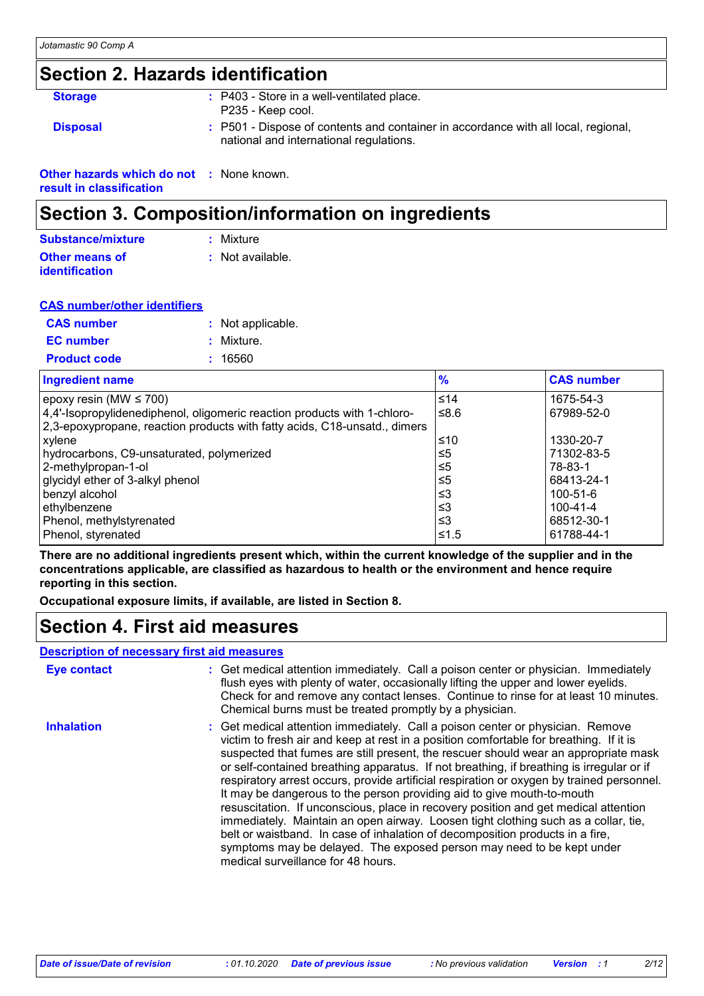### **Section 2. Hazards identification**

| <b>Storage</b>                                  | : P403 - Store in a well-ventilated place.<br>P235 - Keep cool.                                                               |
|-------------------------------------------------|-------------------------------------------------------------------------------------------------------------------------------|
| <b>Disposal</b>                                 | : P501 - Dispose of contents and container in accordance with all local, regional,<br>national and international regulations. |
| <b>Other hazards which do not : None known.</b> |                                                                                                                               |

**result in classification**

### **Section 3. Composition/information on ingredients**

| Substance/mixture                              | : Mixture        |
|------------------------------------------------|------------------|
| <b>Other means of</b><br><b>identification</b> | : Not available. |

| <b>CAS number/other identifiers</b> |                   |
|-------------------------------------|-------------------|
| <b>CAS number</b>                   | : Not applicable. |
| <b>EC</b> number                    | : Mixture.        |
| <b>Product code</b>                 | : 16560           |

| <b>Ingredient name</b>                                                    | $\frac{9}{6}$ | <b>CAS number</b> |
|---------------------------------------------------------------------------|---------------|-------------------|
| epoxy resin (MW $\leq$ 700)                                               | $≤14$         | 1675-54-3         |
| 4,4'-Isopropylidenediphenol, oligomeric reaction products with 1-chloro-  | ≤8.6          | 67989-52-0        |
| 2,3-epoxypropane, reaction products with fatty acids, C18-unsatd., dimers |               |                   |
| xylene                                                                    | 1≤10          | 1330-20-7         |
| hydrocarbons, C9-unsaturated, polymerized                                 | ≤5            | 71302-83-5        |
| 2-methylpropan-1-ol                                                       | $\leq 5$      | 78-83-1           |
| glycidyl ether of 3-alkyl phenol                                          | $\leq 5$      | 68413-24-1        |
| benzyl alcohol                                                            | ≤3            | 100-51-6          |
| ethylbenzene                                                              | ≤3            | 100-41-4          |
| Phenol, methylstyrenated                                                  | ≤3            | 68512-30-1        |
| Phenol, styrenated                                                        | ≤1.5          | 61788-44-1        |

**There are no additional ingredients present which, within the current knowledge of the supplier and in the concentrations applicable, are classified as hazardous to health or the environment and hence require reporting in this section.**

**Occupational exposure limits, if available, are listed in Section 8.**

### **Section 4. First aid measures**

#### **Description of necessary first aid measures**

| <b>Eye contact</b> | : Get medical attention immediately. Call a poison center or physician. Immediately<br>flush eyes with plenty of water, occasionally lifting the upper and lower eyelids.<br>Check for and remove any contact lenses. Continue to rinse for at least 10 minutes.<br>Chemical burns must be treated promptly by a physician.                                                                                                                                                                                                                                                                                                                                                                                                                                                                                                                                                                                     |
|--------------------|-----------------------------------------------------------------------------------------------------------------------------------------------------------------------------------------------------------------------------------------------------------------------------------------------------------------------------------------------------------------------------------------------------------------------------------------------------------------------------------------------------------------------------------------------------------------------------------------------------------------------------------------------------------------------------------------------------------------------------------------------------------------------------------------------------------------------------------------------------------------------------------------------------------------|
| <b>Inhalation</b>  | : Get medical attention immediately. Call a poison center or physician. Remove<br>victim to fresh air and keep at rest in a position comfortable for breathing. If it is<br>suspected that fumes are still present, the rescuer should wear an appropriate mask<br>or self-contained breathing apparatus. If not breathing, if breathing is irregular or if<br>respiratory arrest occurs, provide artificial respiration or oxygen by trained personnel.<br>It may be dangerous to the person providing aid to give mouth-to-mouth<br>resuscitation. If unconscious, place in recovery position and get medical attention<br>immediately. Maintain an open airway. Loosen tight clothing such as a collar, tie,<br>belt or waistband. In case of inhalation of decomposition products in a fire,<br>symptoms may be delayed. The exposed person may need to be kept under<br>medical surveillance for 48 hours. |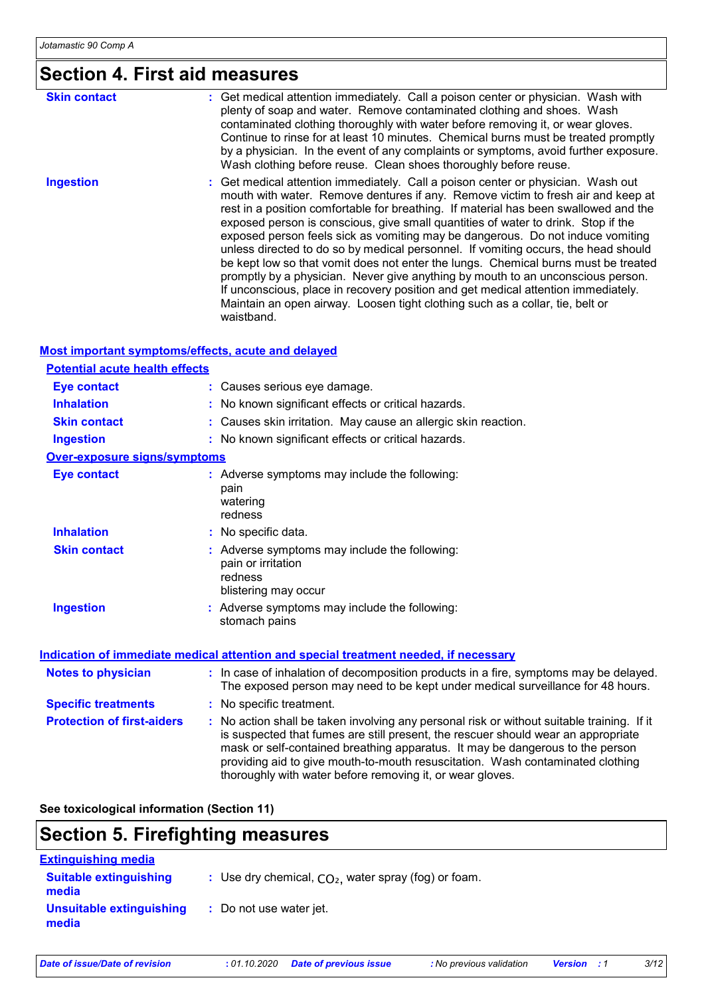### **Section 4. First aid measures**

| <b>Skin contact</b> | : Get medical attention immediately. Call a poison center or physician. Wash with<br>plenty of soap and water. Remove contaminated clothing and shoes. Wash<br>contaminated clothing thoroughly with water before removing it, or wear gloves.<br>Continue to rinse for at least 10 minutes. Chemical burns must be treated promptly<br>by a physician. In the event of any complaints or symptoms, avoid further exposure.<br>Wash clothing before reuse. Clean shoes thoroughly before reuse.                                                                                                                                                                                                                                                                                                                                                                                        |
|---------------------|----------------------------------------------------------------------------------------------------------------------------------------------------------------------------------------------------------------------------------------------------------------------------------------------------------------------------------------------------------------------------------------------------------------------------------------------------------------------------------------------------------------------------------------------------------------------------------------------------------------------------------------------------------------------------------------------------------------------------------------------------------------------------------------------------------------------------------------------------------------------------------------|
| <b>Ingestion</b>    | : Get medical attention immediately. Call a poison center or physician. Wash out<br>mouth with water. Remove dentures if any. Remove victim to fresh air and keep at<br>rest in a position comfortable for breathing. If material has been swallowed and the<br>exposed person is conscious, give small quantities of water to drink. Stop if the<br>exposed person feels sick as vomiting may be dangerous. Do not induce vomiting<br>unless directed to do so by medical personnel. If vomiting occurs, the head should<br>be kept low so that vomit does not enter the lungs. Chemical burns must be treated<br>promptly by a physician. Never give anything by mouth to an unconscious person.<br>If unconscious, place in recovery position and get medical attention immediately.<br>Maintain an open airway. Loosen tight clothing such as a collar, tie, belt or<br>waistband. |

#### **Most important symptoms/effects, acute and delayed**

| <b>Potential acute health effects</b> |                                                                                                                                                                                                                                                                                                                                                                                                                 |
|---------------------------------------|-----------------------------------------------------------------------------------------------------------------------------------------------------------------------------------------------------------------------------------------------------------------------------------------------------------------------------------------------------------------------------------------------------------------|
| <b>Eye contact</b>                    | : Causes serious eye damage.                                                                                                                                                                                                                                                                                                                                                                                    |
| <b>Inhalation</b>                     | : No known significant effects or critical hazards.                                                                                                                                                                                                                                                                                                                                                             |
| <b>Skin contact</b>                   | : Causes skin irritation. May cause an allergic skin reaction.                                                                                                                                                                                                                                                                                                                                                  |
| <b>Ingestion</b>                      | : No known significant effects or critical hazards.                                                                                                                                                                                                                                                                                                                                                             |
| <b>Over-exposure signs/symptoms</b>   |                                                                                                                                                                                                                                                                                                                                                                                                                 |
| <b>Eye contact</b>                    | : Adverse symptoms may include the following:<br>pain<br>watering<br>redness                                                                                                                                                                                                                                                                                                                                    |
| <b>Inhalation</b>                     | : No specific data.                                                                                                                                                                                                                                                                                                                                                                                             |
| <b>Skin contact</b>                   | : Adverse symptoms may include the following:<br>pain or irritation<br>redness<br>blistering may occur                                                                                                                                                                                                                                                                                                          |
| <b>Ingestion</b>                      | : Adverse symptoms may include the following:<br>stomach pains                                                                                                                                                                                                                                                                                                                                                  |
|                                       | Indication of immediate medical attention and special treatment needed, if necessary                                                                                                                                                                                                                                                                                                                            |
| <b>Notes to physician</b>             | : In case of inhalation of decomposition products in a fire, symptoms may be delayed.<br>The exposed person may need to be kept under medical surveillance for 48 hours.                                                                                                                                                                                                                                        |
| <b>Specific treatments</b>            | : No specific treatment.                                                                                                                                                                                                                                                                                                                                                                                        |
| <b>Protection of first-aiders</b>     | : No action shall be taken involving any personal risk or without suitable training. If it<br>is suspected that fumes are still present, the rescuer should wear an appropriate<br>mask or self-contained breathing apparatus. It may be dangerous to the person<br>providing aid to give mouth-to-mouth resuscitation. Wash contaminated clothing<br>thoroughly with water before removing it, or wear gloves. |

**See toxicological information (Section 11)**

### **Section 5. Firefighting measures**

| <b>Extinguishing media</b>             |                                                        |
|----------------------------------------|--------------------------------------------------------|
| <b>Suitable extinguishing</b><br>media | : Use dry chemical, $CO2$ , water spray (fog) or foam. |
| Unsuitable extinguishing<br>media      | : Do not use water jet.                                |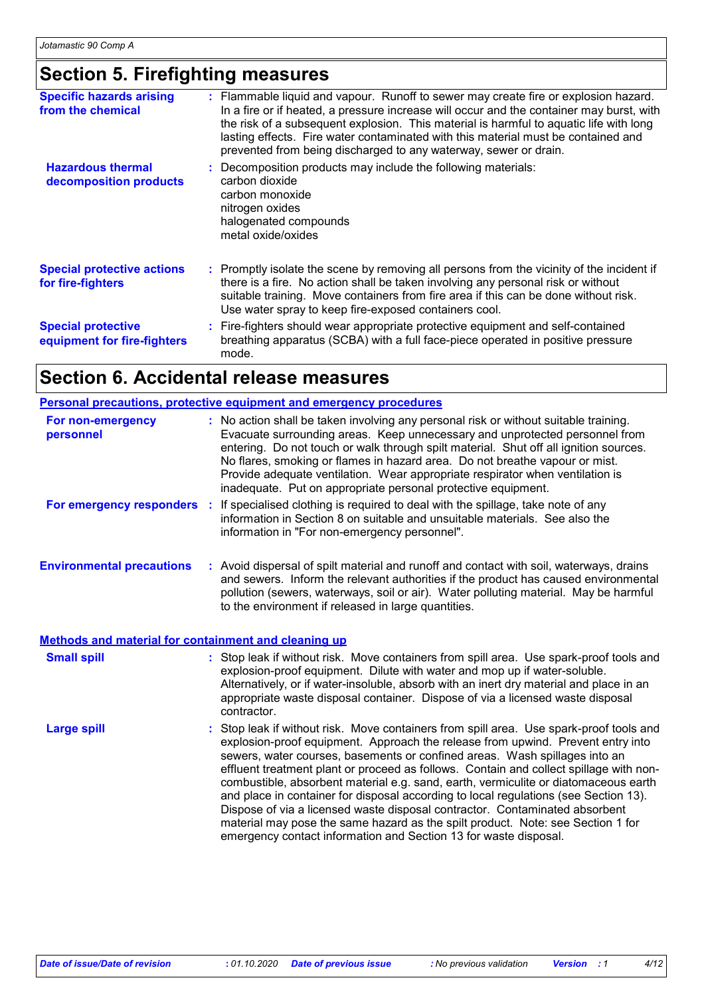### **Section 5. Firefighting measures**

| <b>Specific hazards arising</b><br>from the chemical     | : Flammable liquid and vapour. Runoff to sewer may create fire or explosion hazard.<br>In a fire or if heated, a pressure increase will occur and the container may burst, with<br>the risk of a subsequent explosion. This material is harmful to aquatic life with long<br>lasting effects. Fire water contaminated with this material must be contained and<br>prevented from being discharged to any waterway, sewer or drain. |
|----------------------------------------------------------|------------------------------------------------------------------------------------------------------------------------------------------------------------------------------------------------------------------------------------------------------------------------------------------------------------------------------------------------------------------------------------------------------------------------------------|
| <b>Hazardous thermal</b><br>decomposition products       | : Decomposition products may include the following materials:<br>carbon dioxide<br>carbon monoxide<br>nitrogen oxides<br>halogenated compounds<br>metal oxide/oxides                                                                                                                                                                                                                                                               |
| <b>Special protective actions</b><br>for fire-fighters   | : Promptly isolate the scene by removing all persons from the vicinity of the incident if<br>there is a fire. No action shall be taken involving any personal risk or without<br>suitable training. Move containers from fire area if this can be done without risk.<br>Use water spray to keep fire-exposed containers cool.                                                                                                      |
| <b>Special protective</b><br>equipment for fire-fighters | : Fire-fighters should wear appropriate protective equipment and self-contained<br>breathing apparatus (SCBA) with a full face-piece operated in positive pressure<br>mode.                                                                                                                                                                                                                                                        |

### **Section 6. Accidental release measures**

|                                                      | <b>Personal precautions, protective equipment and emergency procedures</b>                                                                                                                                                                                                                                                                                                                                                                                                                                                                                                                                                                                                                                                                                              |
|------------------------------------------------------|-------------------------------------------------------------------------------------------------------------------------------------------------------------------------------------------------------------------------------------------------------------------------------------------------------------------------------------------------------------------------------------------------------------------------------------------------------------------------------------------------------------------------------------------------------------------------------------------------------------------------------------------------------------------------------------------------------------------------------------------------------------------------|
| For non-emergency<br>personnel                       | : No action shall be taken involving any personal risk or without suitable training.<br>Evacuate surrounding areas. Keep unnecessary and unprotected personnel from<br>entering. Do not touch or walk through spilt material. Shut off all ignition sources.<br>No flares, smoking or flames in hazard area. Do not breathe vapour or mist.<br>Provide adequate ventilation. Wear appropriate respirator when ventilation is<br>inadequate. Put on appropriate personal protective equipment.                                                                                                                                                                                                                                                                           |
| For emergency responders :                           | If specialised clothing is required to deal with the spillage, take note of any<br>information in Section 8 on suitable and unsuitable materials. See also the<br>information in "For non-emergency personnel".                                                                                                                                                                                                                                                                                                                                                                                                                                                                                                                                                         |
| <b>Environmental precautions</b>                     | : Avoid dispersal of spilt material and runoff and contact with soil, waterways, drains<br>and sewers. Inform the relevant authorities if the product has caused environmental<br>pollution (sewers, waterways, soil or air). Water polluting material. May be harmful<br>to the environment if released in large quantities.                                                                                                                                                                                                                                                                                                                                                                                                                                           |
| Methods and material for containment and cleaning up |                                                                                                                                                                                                                                                                                                                                                                                                                                                                                                                                                                                                                                                                                                                                                                         |
| <b>Small spill</b>                                   | : Stop leak if without risk. Move containers from spill area. Use spark-proof tools and<br>explosion-proof equipment. Dilute with water and mop up if water-soluble.<br>Alternatively, or if water-insoluble, absorb with an inert dry material and place in an<br>appropriate waste disposal container. Dispose of via a licensed waste disposal<br>contractor.                                                                                                                                                                                                                                                                                                                                                                                                        |
| <b>Large spill</b>                                   | : Stop leak if without risk. Move containers from spill area. Use spark-proof tools and<br>explosion-proof equipment. Approach the release from upwind. Prevent entry into<br>sewers, water courses, basements or confined areas. Wash spillages into an<br>effluent treatment plant or proceed as follows. Contain and collect spillage with non-<br>combustible, absorbent material e.g. sand, earth, vermiculite or diatomaceous earth<br>and place in container for disposal according to local regulations (see Section 13).<br>Dispose of via a licensed waste disposal contractor. Contaminated absorbent<br>material may pose the same hazard as the spilt product. Note: see Section 1 for<br>emergency contact information and Section 13 for waste disposal. |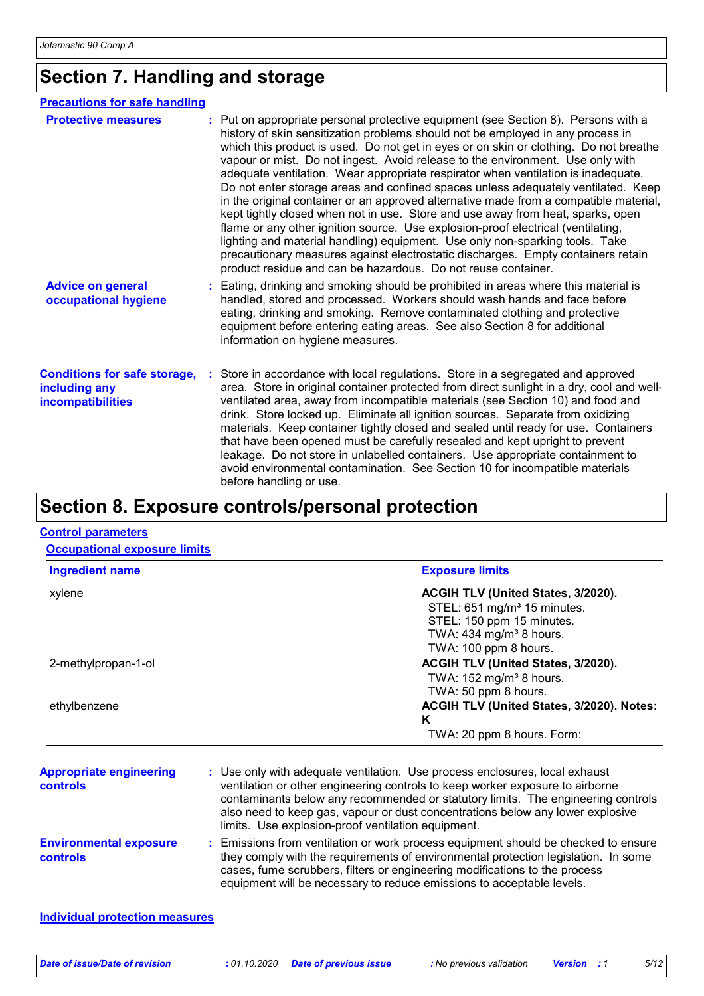### **Section 7. Handling and storage**

| <b>Precautions for safe handling</b>                                      |                                                                                                                                                                                                                                                                                                                                                                                                                                                                                                                                                                                                                                                                                                                                                                                                                                                                                                                                                                                                                                 |  |  |  |
|---------------------------------------------------------------------------|---------------------------------------------------------------------------------------------------------------------------------------------------------------------------------------------------------------------------------------------------------------------------------------------------------------------------------------------------------------------------------------------------------------------------------------------------------------------------------------------------------------------------------------------------------------------------------------------------------------------------------------------------------------------------------------------------------------------------------------------------------------------------------------------------------------------------------------------------------------------------------------------------------------------------------------------------------------------------------------------------------------------------------|--|--|--|
| <b>Protective measures</b>                                                | : Put on appropriate personal protective equipment (see Section 8). Persons with a<br>history of skin sensitization problems should not be employed in any process in<br>which this product is used. Do not get in eyes or on skin or clothing. Do not breathe<br>vapour or mist. Do not ingest. Avoid release to the environment. Use only with<br>adequate ventilation. Wear appropriate respirator when ventilation is inadequate.<br>Do not enter storage areas and confined spaces unless adequately ventilated. Keep<br>in the original container or an approved alternative made from a compatible material,<br>kept tightly closed when not in use. Store and use away from heat, sparks, open<br>flame or any other ignition source. Use explosion-proof electrical (ventilating,<br>lighting and material handling) equipment. Use only non-sparking tools. Take<br>precautionary measures against electrostatic discharges. Empty containers retain<br>product residue and can be hazardous. Do not reuse container. |  |  |  |
| <b>Advice on general</b><br>occupational hygiene                          | : Eating, drinking and smoking should be prohibited in areas where this material is<br>handled, stored and processed. Workers should wash hands and face before<br>eating, drinking and smoking. Remove contaminated clothing and protective<br>equipment before entering eating areas. See also Section 8 for additional<br>information on hygiene measures.                                                                                                                                                                                                                                                                                                                                                                                                                                                                                                                                                                                                                                                                   |  |  |  |
| <b>Conditions for safe storage,</b><br>including any<br>incompatibilities | : Store in accordance with local regulations. Store in a segregated and approved<br>area. Store in original container protected from direct sunlight in a dry, cool and well-<br>ventilated area, away from incompatible materials (see Section 10) and food and<br>drink. Store locked up. Eliminate all ignition sources. Separate from oxidizing<br>materials. Keep container tightly closed and sealed until ready for use. Containers<br>that have been opened must be carefully resealed and kept upright to prevent<br>leakage. Do not store in unlabelled containers. Use appropriate containment to<br>avoid environmental contamination. See Section 10 for incompatible materials<br>before handling or use.                                                                                                                                                                                                                                                                                                         |  |  |  |

### **Section 8. Exposure controls/personal protection**

#### **Control parameters**

**Occupational exposure limits**

| <b>Ingredient name</b> | <b>Exposure limits</b>                    |  |  |
|------------------------|-------------------------------------------|--|--|
| xylene                 | ACGIH TLV (United States, 3/2020).        |  |  |
|                        | STEL: 651 mg/m <sup>3</sup> 15 minutes.   |  |  |
|                        | STEL: 150 ppm 15 minutes.                 |  |  |
|                        | TWA: $434$ mg/m <sup>3</sup> 8 hours.     |  |  |
|                        | TWA: 100 ppm 8 hours.                     |  |  |
| 2-methylpropan-1-ol    | ACGIH TLV (United States, 3/2020).        |  |  |
|                        | TWA: $152 \text{ mg/m}^3$ 8 hours.        |  |  |
|                        | TWA: 50 ppm 8 hours.                      |  |  |
| ethylbenzene           | ACGIH TLV (United States, 3/2020). Notes: |  |  |
|                        | Κ                                         |  |  |
|                        | TWA: 20 ppm 8 hours. Form:                |  |  |

| <b>Appropriate engineering</b><br><b>controls</b> | : Use only with adequate ventilation. Use process enclosures, local exhaust<br>ventilation or other engineering controls to keep worker exposure to airborne<br>contaminants below any recommended or statutory limits. The engineering controls<br>also need to keep gas, vapour or dust concentrations below any lower explosive<br>limits. Use explosion-proof ventilation equipment. |
|---------------------------------------------------|------------------------------------------------------------------------------------------------------------------------------------------------------------------------------------------------------------------------------------------------------------------------------------------------------------------------------------------------------------------------------------------|
| <b>Environmental exposure</b><br><b>controls</b>  | : Emissions from ventilation or work process equipment should be checked to ensure<br>they comply with the requirements of environmental protection legislation. In some<br>cases, fume scrubbers, filters or engineering modifications to the process<br>equipment will be necessary to reduce emissions to acceptable levels.                                                          |

#### **Individual protection measures**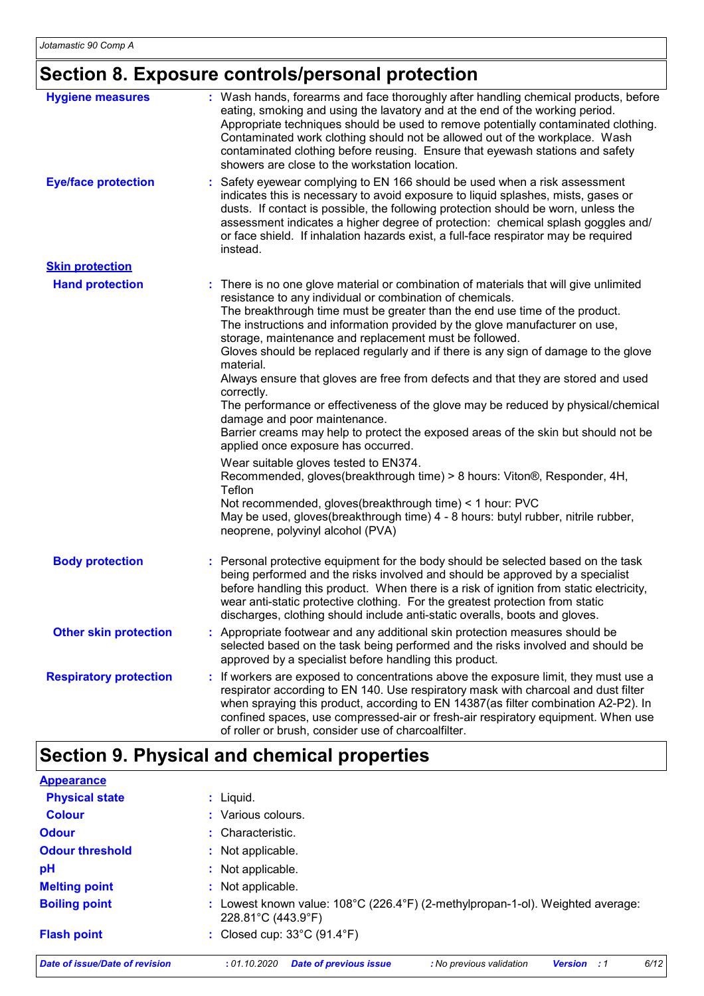# **Section 8. Exposure controls/personal protection**

| <b>Hygiene measures</b>       | : Wash hands, forearms and face thoroughly after handling chemical products, before<br>eating, smoking and using the lavatory and at the end of the working period.<br>Appropriate techniques should be used to remove potentially contaminated clothing.<br>Contaminated work clothing should not be allowed out of the workplace. Wash<br>contaminated clothing before reusing. Ensure that eyewash stations and safety<br>showers are close to the workstation location.                                                                                                                                                                                                                                                                                                                                                                                                                                                                                                                                                                                                                                                                              |
|-------------------------------|----------------------------------------------------------------------------------------------------------------------------------------------------------------------------------------------------------------------------------------------------------------------------------------------------------------------------------------------------------------------------------------------------------------------------------------------------------------------------------------------------------------------------------------------------------------------------------------------------------------------------------------------------------------------------------------------------------------------------------------------------------------------------------------------------------------------------------------------------------------------------------------------------------------------------------------------------------------------------------------------------------------------------------------------------------------------------------------------------------------------------------------------------------|
| <b>Eye/face protection</b>    | Safety eyewear complying to EN 166 should be used when a risk assessment<br>indicates this is necessary to avoid exposure to liquid splashes, mists, gases or<br>dusts. If contact is possible, the following protection should be worn, unless the<br>assessment indicates a higher degree of protection: chemical splash goggles and/<br>or face shield. If inhalation hazards exist, a full-face respirator may be required<br>instead.                                                                                                                                                                                                                                                                                                                                                                                                                                                                                                                                                                                                                                                                                                               |
| <b>Skin protection</b>        |                                                                                                                                                                                                                                                                                                                                                                                                                                                                                                                                                                                                                                                                                                                                                                                                                                                                                                                                                                                                                                                                                                                                                          |
| <b>Hand protection</b>        | : There is no one glove material or combination of materials that will give unlimited<br>resistance to any individual or combination of chemicals.<br>The breakthrough time must be greater than the end use time of the product.<br>The instructions and information provided by the glove manufacturer on use,<br>storage, maintenance and replacement must be followed.<br>Gloves should be replaced regularly and if there is any sign of damage to the glove<br>material.<br>Always ensure that gloves are free from defects and that they are stored and used<br>correctly.<br>The performance or effectiveness of the glove may be reduced by physical/chemical<br>damage and poor maintenance.<br>Barrier creams may help to protect the exposed areas of the skin but should not be<br>applied once exposure has occurred.<br>Wear suitable gloves tested to EN374.<br>Recommended, gloves(breakthrough time) > 8 hours: Viton®, Responder, 4H,<br>Teflon<br>Not recommended, gloves(breakthrough time) < 1 hour: PVC<br>May be used, gloves(breakthrough time) 4 - 8 hours: butyl rubber, nitrile rubber,<br>neoprene, polyvinyl alcohol (PVA) |
| <b>Body protection</b>        | : Personal protective equipment for the body should be selected based on the task<br>being performed and the risks involved and should be approved by a specialist<br>before handling this product. When there is a risk of ignition from static electricity,<br>wear anti-static protective clothing. For the greatest protection from static<br>discharges, clothing should include anti-static overalls, boots and gloves.                                                                                                                                                                                                                                                                                                                                                                                                                                                                                                                                                                                                                                                                                                                            |
| <b>Other skin protection</b>  | : Appropriate footwear and any additional skin protection measures should be<br>selected based on the task being performed and the risks involved and should be<br>approved by a specialist before handling this product.                                                                                                                                                                                                                                                                                                                                                                                                                                                                                                                                                                                                                                                                                                                                                                                                                                                                                                                                |
| <b>Respiratory protection</b> | If workers are exposed to concentrations above the exposure limit, they must use a<br>respirator according to EN 140. Use respiratory mask with charcoal and dust filter<br>when spraying this product, according to EN 14387(as filter combination A2-P2). In<br>confined spaces, use compressed-air or fresh-air respiratory equipment. When use<br>of roller or brush, consider use of charcoalfilter.                                                                                                                                                                                                                                                                                                                                                                                                                                                                                                                                                                                                                                                                                                                                                |

# **Section 9. Physical and chemical properties**

| <b>Appearance</b>              |                                                                                                                           |
|--------------------------------|---------------------------------------------------------------------------------------------------------------------------|
| <b>Physical state</b>          | $:$ Liquid.                                                                                                               |
| <b>Colour</b>                  | : Various colours.                                                                                                        |
| <b>Odour</b>                   | : Characteristic.                                                                                                         |
| <b>Odour threshold</b>         | : Not applicable.                                                                                                         |
| pH                             | : Not applicable.                                                                                                         |
| <b>Melting point</b>           | : Not applicable.                                                                                                         |
| <b>Boiling point</b>           | : Lowest known value: $108^{\circ}$ C (226.4 $^{\circ}$ F) (2-methylpropan-1-ol). Weighted average:<br>228.81°C (443.9°F) |
| <b>Flash point</b>             | : Closed cup: $33^{\circ}$ C (91.4 $^{\circ}$ F)                                                                          |
| Date of issue/Date of revision | 6/12<br>: 01.10.2020<br><b>Date of previous issue</b><br>: No previous validation<br><b>Version</b><br>$\cdot$ :1         |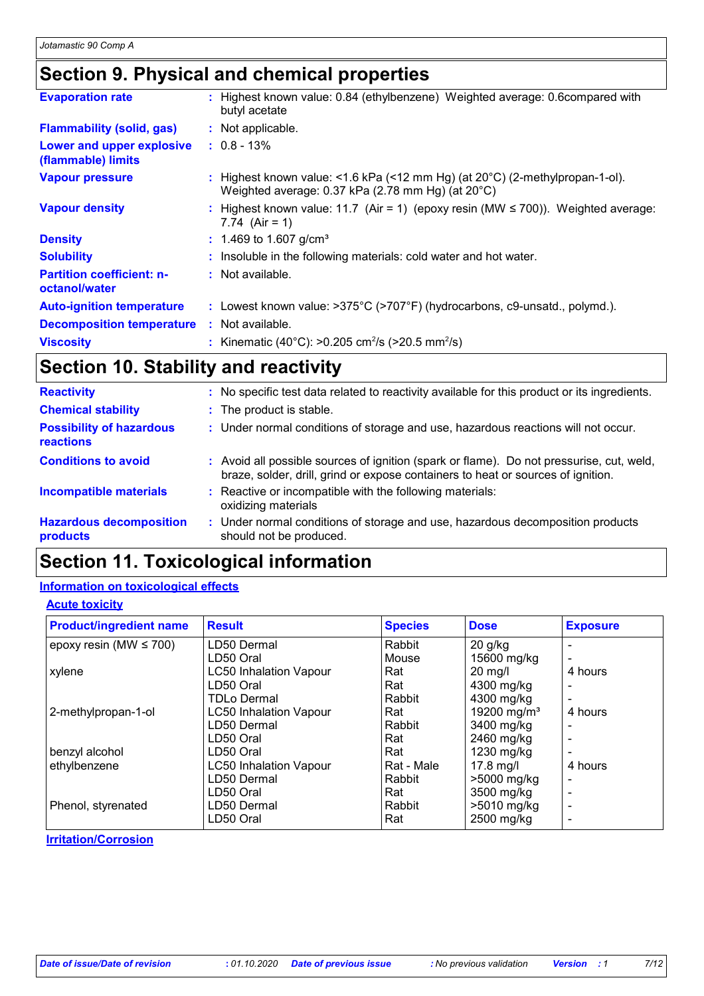### **Section 9. Physical and chemical properties**

| <b>Evaporation rate</b>                           | : Highest known value: 0.84 (ethylbenzene) Weighted average: 0.6compared with<br>butyl acetate                                              |
|---------------------------------------------------|---------------------------------------------------------------------------------------------------------------------------------------------|
| <b>Flammability (solid, gas)</b>                  | : Not applicable.                                                                                                                           |
| Lower and upper explosive<br>(flammable) limits   | $: 0.8 - 13\%$                                                                                                                              |
| <b>Vapour pressure</b>                            | : Highest known value: <1.6 kPa (<12 mm Hg) (at $20^{\circ}$ C) (2-methylpropan-1-ol).<br>Weighted average: 0.37 kPa (2.78 mm Hg) (at 20°C) |
| <b>Vapour density</b>                             | : Highest known value: 11.7 (Air = 1) (epoxy resin (MW $\leq$ 700)). Weighted average:<br>7.74 $(Air = 1)$                                  |
| <b>Density</b>                                    | $: 1.469$ to 1.607 g/cm <sup>3</sup>                                                                                                        |
| <b>Solubility</b>                                 | : Insoluble in the following materials: cold water and hot water.                                                                           |
| <b>Partition coefficient: n-</b><br>octanol/water | $\therefore$ Not available.                                                                                                                 |
| <b>Auto-ignition temperature</b>                  | : Lowest known value: $>375^{\circ}$ C ( $>707^{\circ}$ F) (hydrocarbons, c9-unsatd., polymd.).                                             |
| <b>Decomposition temperature</b>                  | : Not available.                                                                                                                            |
| <b>Viscosity</b>                                  | : Kinematic (40°C): >0.205 cm <sup>2</sup> /s (>20.5 mm <sup>2</sup> /s)                                                                    |

### **Section 10. Stability and reactivity**

| <b>Reactivity</b>                            | : No specific test data related to reactivity available for this product or its ingredients.                                                                                 |
|----------------------------------------------|------------------------------------------------------------------------------------------------------------------------------------------------------------------------------|
| <b>Chemical stability</b>                    | : The product is stable.                                                                                                                                                     |
| <b>Possibility of hazardous</b><br>reactions | : Under normal conditions of storage and use, hazardous reactions will not occur.                                                                                            |
| <b>Conditions to avoid</b>                   | : Avoid all possible sources of ignition (spark or flame). Do not pressurise, cut, weld,<br>braze, solder, drill, grind or expose containers to heat or sources of ignition. |
| <b>Incompatible materials</b>                | : Reactive or incompatible with the following materials:<br>oxidizing materials                                                                                              |
| <b>Hazardous decomposition</b><br>products   | : Under normal conditions of storage and use, hazardous decomposition products<br>should not be produced.                                                                    |

### **Section 11. Toxicological information**

#### **Information on toxicological effects**

#### **Acute toxicity**

| <b>Product/ingredient name</b> | <b>Result</b>                 | <b>Species</b> | <b>Dose</b>             | <b>Exposure</b> |
|--------------------------------|-------------------------------|----------------|-------------------------|-----------------|
| epoxy resin (MW $\leq$ 700)    | LD50 Dermal                   | Rabbit         | $20$ g/kg               |                 |
|                                | LD50 Oral                     | Mouse          | 15600 mg/kg             |                 |
| xylene                         | <b>LC50 Inhalation Vapour</b> | Rat            | $20$ mg/l               | 4 hours         |
|                                | LD50 Oral                     | Rat            | 4300 mg/kg              |                 |
|                                | TDLo Dermal                   | Rabbit         | 4300 mg/kg              |                 |
| 2-methylpropan-1-ol            | <b>LC50 Inhalation Vapour</b> | Rat            | 19200 mg/m <sup>3</sup> | 4 hours         |
|                                | LD50 Dermal                   | Rabbit         | 3400 mg/kg              |                 |
|                                | LD50 Oral                     | Rat            | 2460 mg/kg              |                 |
| benzyl alcohol                 | LD50 Oral                     | Rat            | 1230 mg/kg              |                 |
| ethylbenzene                   | <b>LC50 Inhalation Vapour</b> | Rat - Male     | $17.8$ mg/l             | 4 hours         |
|                                | LD50 Dermal                   | Rabbit         | >5000 mg/kg             |                 |
|                                | LD50 Oral                     | Rat            | 3500 mg/kg              |                 |
| Phenol, styrenated             | LD50 Dermal                   | Rabbit         | >5010 mg/kg             |                 |
|                                | LD50 Oral                     | Rat            | 2500 mg/kg              |                 |

**Irritation/Corrosion**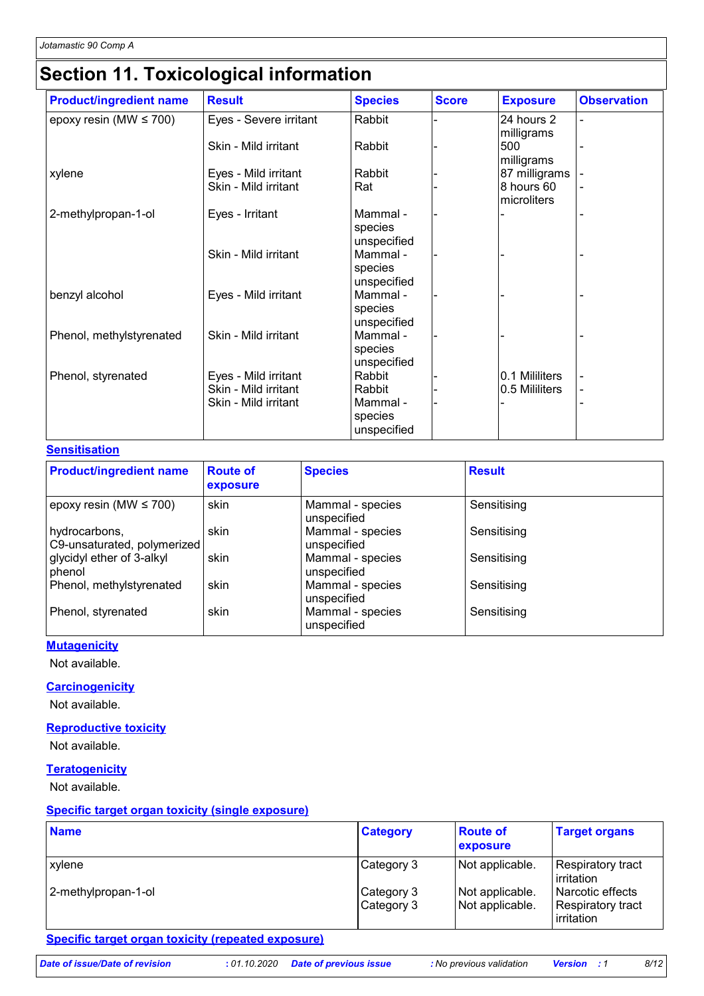# **Section 11. Toxicological information**

| <b>Product/ingredient name</b> | <b>Result</b>                                                        | <b>Species</b>                                         | <b>Score</b> | <b>Exposure</b>                  | <b>Observation</b> |
|--------------------------------|----------------------------------------------------------------------|--------------------------------------------------------|--------------|----------------------------------|--------------------|
| epoxy resin (MW $\leq$ 700)    | Eyes - Severe irritant                                               | Rabbit                                                 |              | 24 hours 2                       |                    |
|                                | Skin - Mild irritant                                                 | Rabbit                                                 |              | milligrams<br>500<br>milligrams  |                    |
| xylene                         | Eyes - Mild irritant                                                 | Rabbit                                                 |              | 87 milligrams                    |                    |
|                                | Skin - Mild irritant                                                 | Rat                                                    |              | 8 hours 60<br>microliters        |                    |
| 2-methylpropan-1-ol            | Eyes - Irritant                                                      | Mammal -<br>species<br>unspecified                     |              |                                  |                    |
|                                | Skin - Mild irritant                                                 | Mammal -<br>species<br>unspecified                     |              |                                  |                    |
| benzyl alcohol                 | Eyes - Mild irritant                                                 | Mammal -<br>species<br>unspecified                     |              |                                  |                    |
| Phenol, methylstyrenated       | Skin - Mild irritant                                                 | Mammal -<br>species<br>unspecified                     |              |                                  |                    |
| Phenol, styrenated             | Eyes - Mild irritant<br>Skin - Mild irritant<br>Skin - Mild irritant | Rabbit<br>Rabbit<br>Mammal -<br>species<br>unspecified |              | 0.1 Mililiters<br>0.5 Mililiters | -                  |

#### **Sensitisation**

| <b>Product/ingredient name</b>               | <b>Route of</b><br>exposure | <b>Species</b>                  | <b>Result</b> |
|----------------------------------------------|-----------------------------|---------------------------------|---------------|
| $ epoxy$ resin (MW $\leq 700$ )              | skin                        | Mammal - species<br>unspecified | Sensitising   |
| hydrocarbons,<br>C9-unsaturated, polymerized | skin                        | Mammal - species<br>unspecified | Sensitising   |
| glycidyl ether of 3-alkyl<br>phenol          | skin                        | Mammal - species<br>unspecified | Sensitising   |
| Phenol, methylstyrenated                     | skin                        | Mammal - species<br>unspecified | Sensitising   |
| Phenol, styrenated                           | skin                        | Mammal - species<br>unspecified | Sensitising   |

#### **Mutagenicity**

Not available.

#### **Carcinogenicity**

Not available.

#### **Reproductive toxicity**

Not available.

#### **Teratogenicity**

Not available.

#### **Specific target organ toxicity (single exposure)**

| <b>Name</b>         | <b>Category</b>           | <b>Route of</b><br>exposure        | <b>Target organs</b>                                         |
|---------------------|---------------------------|------------------------------------|--------------------------------------------------------------|
| xylene              | Category 3                | Not applicable.                    | <b>Respiratory tract</b><br>irritation                       |
| 2-methylpropan-1-ol | Category 3<br>∣Category 3 | Not applicable.<br>Not applicable. | l Narcotic effects<br><b>Respiratory tract</b><br>irritation |

#### **Specific target organ toxicity (repeated exposure)**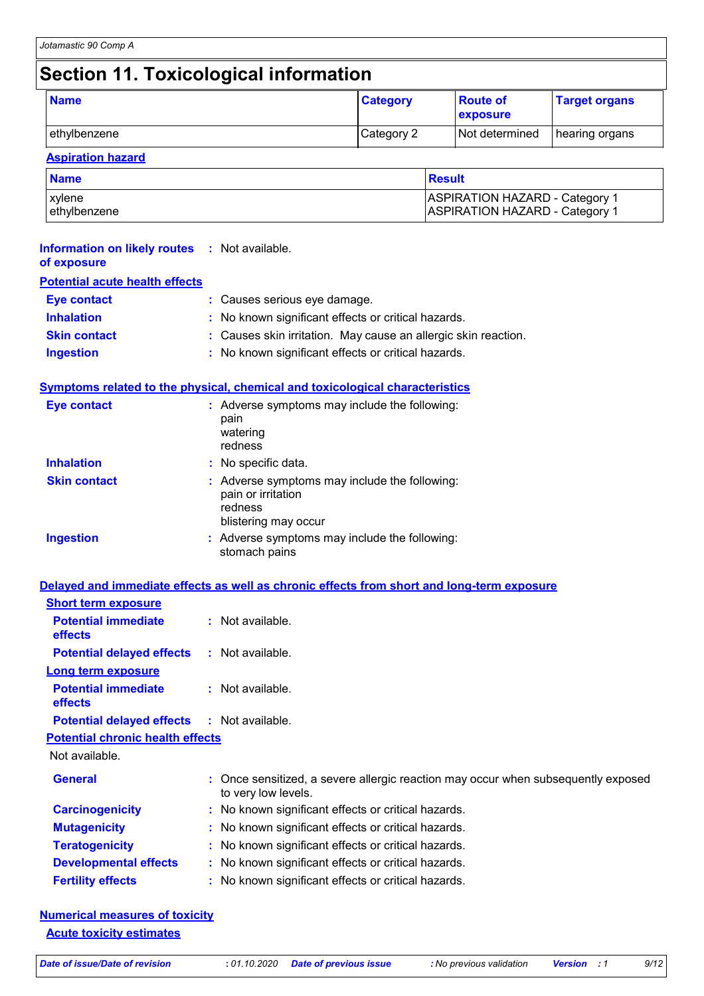# **Section 11. Toxicological information**

| <b>Name</b>  | <b>Category</b> | <b>Route of</b><br>exposure | <b>Target organs</b> |
|--------------|-----------------|-----------------------------|----------------------|
| ethylbenzene | Category 2      | Not determined              | hearing organs       |

#### **Aspiration hazard**

| <b>Name</b>   | Result                                |  |
|---------------|---------------------------------------|--|
| <b>xylene</b> | <b>ASPIRATION HAZARD - Category 1</b> |  |
| ethylbenzene  | <b>ASPIRATION HAZARD - Category 1</b> |  |

| <b>Information on likely routes</b><br>of exposure | : Not available.                                                                                       |
|----------------------------------------------------|--------------------------------------------------------------------------------------------------------|
| <b>Potential acute health effects</b>              |                                                                                                        |
| <b>Eye contact</b>                                 | : Causes serious eye damage.                                                                           |
| <b>Inhalation</b>                                  | No known significant effects or critical hazards.                                                      |
| <b>Skin contact</b>                                | Causes skin irritation. May cause an allergic skin reaction.                                           |
| <b>Ingestion</b>                                   | No known significant effects or critical hazards.                                                      |
|                                                    | Symptoms related to the physical, chemical and toxicological characteristics                           |
| <b>Eye contact</b>                                 | : Adverse symptoms may include the following:<br>pain<br>watering<br>redness                           |
| <b>Inhalation</b>                                  | : No specific data.                                                                                    |
| <b>Skin contact</b>                                | : Adverse symptoms may include the following:<br>pain or irritation<br>redness<br>blistering may occur |
| <b>Ingestion</b>                                   | : Adverse symptoms may include the following:<br>stomach pains                                         |
|                                                    | Delayed and immediate effects as well as chronic effects from short and long-term exposure             |
| <b>Short term exposure</b>                         |                                                                                                        |
| <b>Potential immediate</b><br>effects              | : Not available.                                                                                       |
| <b>Potential delayed effects</b>                   | : Not available.                                                                                       |
| <b>Long term exposure</b>                          |                                                                                                        |
| <b>Potential immediate</b><br>effects              | : Not available.                                                                                       |
| <b>Potential delayed effects</b>                   | : Not available.                                                                                       |
| <b>Potential chronic health effects</b>            |                                                                                                        |
| Not available.                                     |                                                                                                        |
| <b>General</b>                                     | Once sensitized, a severe allergic reaction may occur when subsequently exposed<br>to very low levels. |
| <b>Carcinogenicity</b>                             | No known significant effects or critical hazards.                                                      |
| <b>Mutagenicity</b>                                | No known significant effects or critical hazards.                                                      |
| <b>Teratogenicity</b>                              | No known significant effects or critical hazards.                                                      |
| <b>Developmental effects</b>                       | : No known significant effects or critical hazards.                                                    |

**Fertility effects :** No known significant effects or critical hazards.

| <b>Numerical measures of toxicity</b> |  |
|---------------------------------------|--|
| <b>Acute toxicity estimates</b>       |  |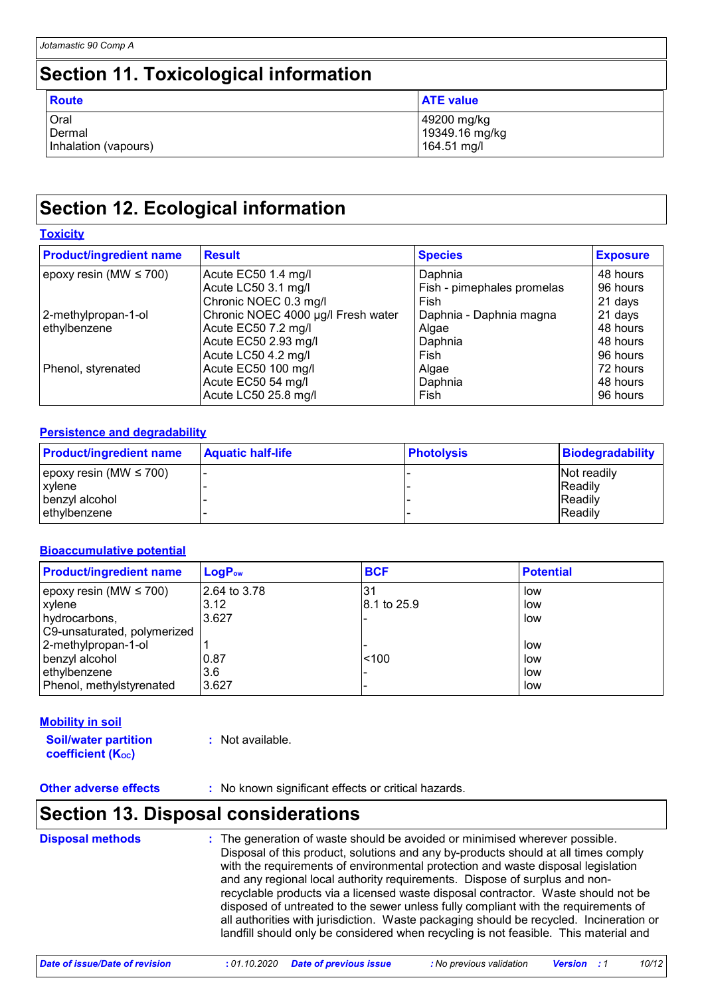### **Section 11. Toxicological information**

| Route                | <b>ATE value</b> |
|----------------------|------------------|
| Oral                 | 49200 mg/kg      |
| Dermal               | 19349.16 mg/kg   |
| Inhalation (vapours) | 164.51 mg/l      |

## **Section 12. Ecological information**

#### **Toxicity**

| <b>Product/ingredient name</b> | <b>Result</b>                      | <b>Species</b>             | <b>Exposure</b> |
|--------------------------------|------------------------------------|----------------------------|-----------------|
| epoxy resin (MW $\leq$ 700)    | Acute EC50 1.4 mg/l                | Daphnia                    | 48 hours        |
|                                | Acute LC50 3.1 mg/l                | Fish - pimephales promelas | 96 hours        |
|                                | Chronic NOEC 0.3 mg/l              | Fish                       | 21 days         |
| 2-methylpropan-1-ol            | Chronic NOEC 4000 µg/l Fresh water | Daphnia - Daphnia magna    | 21 days         |
| ethylbenzene                   | Acute EC50 7.2 mg/l                | Algae                      | 48 hours        |
|                                | Acute EC50 2.93 mg/l               | Daphnia                    | 48 hours        |
|                                | Acute LC50 4.2 mg/l                | Fish                       | 96 hours        |
| Phenol, styrenated             | Acute EC50 100 mg/l                | Algae                      | 72 hours        |
|                                | Acute EC50 54 mg/l                 | Daphnia                    | 48 hours        |
|                                | Acute LC50 25.8 mg/l               | Fish                       | 96 hours        |

#### **Persistence and degradability**

| <b>Product/ingredient name</b> | <b>Aquatic half-life</b> | <b>Photolysis</b> | <b>Biodegradability</b> |
|--------------------------------|--------------------------|-------------------|-------------------------|
| epoxy resin (MW $\leq$ 700)    |                          |                   | <b>Not readily</b>      |
| xylene                         |                          |                   | <b>Readily</b>          |
| benzyl alcohol                 |                          |                   | <b>Readily</b>          |
| ethylbenzene                   |                          |                   | <b>Readily</b>          |

#### **Bioaccumulative potential**

| <b>Product/ingredient name</b> | $LogP_{ow}$  | <b>BCF</b>  | <b>Potential</b> |
|--------------------------------|--------------|-------------|------------------|
| epoxy resin (MW $\leq$ 700)    | 2.64 to 3.78 | 31          | low              |
| xylene                         | 3.12         | 8.1 to 25.9 | low              |
| hydrocarbons,                  | 3.627        |             | low              |
| C9-unsaturated, polymerized    |              |             |                  |
| 2-methylpropan-1-ol            |              |             | low              |
| benzyl alcohol                 | 0.87         | < 100       | low              |
| ethylbenzene                   | 3.6          |             | low              |
| Phenol, methylstyrenated       | 3.627        |             | low              |

#### **Mobility in soil**

**Soil/water partition coefficient (KOC)**

**:** Not available.

**Other adverse effects** : No known significant effects or critical hazards.

### **Section 13. Disposal considerations**

**Disposal methods :**

The generation of waste should be avoided or minimised wherever possible. Disposal of this product, solutions and any by-products should at all times comply with the requirements of environmental protection and waste disposal legislation and any regional local authority requirements. Dispose of surplus and nonrecyclable products via a licensed waste disposal contractor. Waste should not be disposed of untreated to the sewer unless fully compliant with the requirements of all authorities with jurisdiction. Waste packaging should be recycled. Incineration or landfill should only be considered when recycling is not feasible. This material and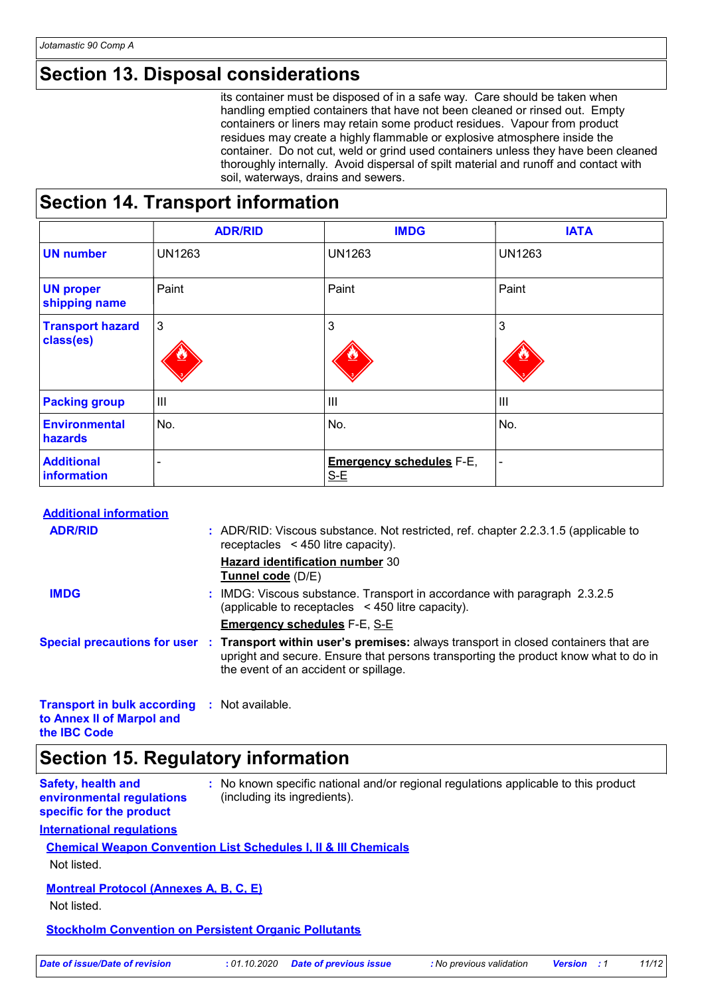### **Section 13. Disposal considerations**

its container must be disposed of in a safe way. Care should be taken when handling emptied containers that have not been cleaned or rinsed out. Empty containers or liners may retain some product residues. Vapour from product residues may create a highly flammable or explosive atmosphere inside the container. Do not cut, weld or grind used containers unless they have been cleaned thoroughly internally. Avoid dispersal of spilt material and runoff and contact with soil, waterways, drains and sewers.

### **Section 14. Transport information**

|                                      | <b>ADR/RID</b> | <b>IMDG</b>                              | <b>IATA</b>    |
|--------------------------------------|----------------|------------------------------------------|----------------|
| <b>UN number</b>                     | <b>UN1263</b>  | <b>UN1263</b>                            | <b>UN1263</b>  |
| <b>UN proper</b><br>shipping name    | Paint          | Paint                                    | Paint          |
| <b>Transport hazard</b><br>class(es) | 3              | 3                                        | 3              |
| <b>Packing group</b>                 | $\mathbf{III}$ | $\mathbf{III}$                           | $\mathbf{III}$ |
| <b>Environmental</b><br>hazards      | No.            | No.                                      | No.            |
| <b>Additional</b><br>information     |                | <b>Emergency schedules F-E,</b><br>$S-E$ |                |

#### **Additional information**

| <b>ADR/RID</b>                                                                                   |  | : ADR/RID: Viscous substance. Not restricted, ref. chapter 2.2.3.1.5 (applicable to<br>receptacles $\leq$ 450 litre capacity).                                                                                                                  |
|--------------------------------------------------------------------------------------------------|--|-------------------------------------------------------------------------------------------------------------------------------------------------------------------------------------------------------------------------------------------------|
|                                                                                                  |  | <b>Hazard identification number 30</b><br>Tunnel code (D/E)                                                                                                                                                                                     |
| <b>IMDG</b>                                                                                      |  | : IMDG: Viscous substance. Transport in accordance with paragraph 2.3.2.5<br>(applicable to receptacles $\leq$ 450 litre capacity).                                                                                                             |
|                                                                                                  |  | <b>Emergency schedules F-E, S-E</b>                                                                                                                                                                                                             |
|                                                                                                  |  | Special precautions for user : Transport within user's premises: always transport in closed containers that are<br>upright and secure. Ensure that persons transporting the product know what to do in<br>the event of an accident or spillage. |
| <b>Transport in bulk according : Not available.</b><br>to Annex II of Marpol and<br>the IBC Code |  |                                                                                                                                                                                                                                                 |

### **Section 15. Regulatory information**

| <b>Safety, health and</b> | : No known specific national and/or regional regulations applicable to this product |
|---------------------------|-------------------------------------------------------------------------------------|
| environmental regulations | (including its ingredients).                                                        |
| specific for the product  |                                                                                     |

#### **International regulations**

#### **Chemical Weapon Convention List Schedules I, II & III Chemicals**

Not listed.

#### **Montreal Protocol (Annexes A, B, C, E)**

Not listed.

#### **Stockholm Convention on Persistent Organic Pollutants**